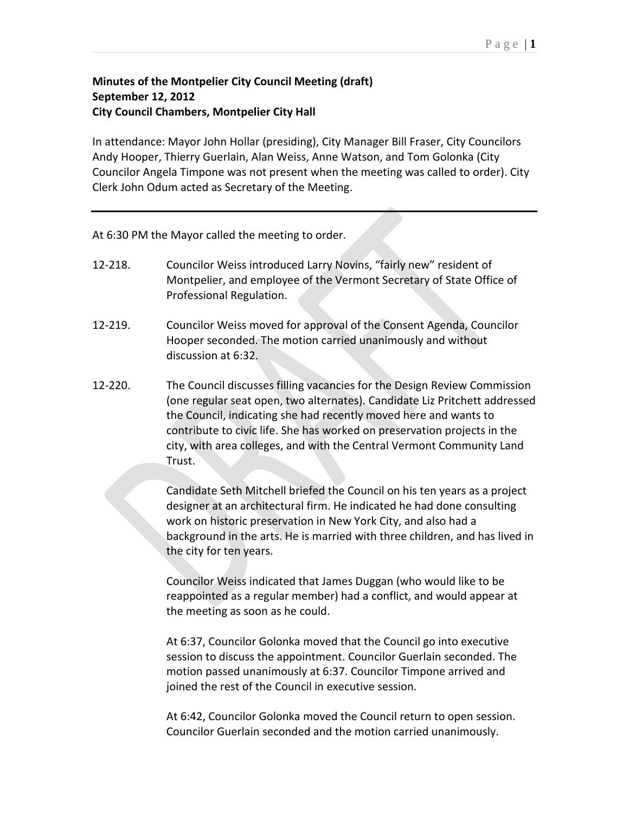## **Minutes of the Montpelier City Council Meeting (draft) September 12, 2012 City Council Chambers, Montpelier City Hall**

In attendance: Mayor John Hollar (presiding), City Manager Bill Fraser, City Councilors Andy Hooper, Thierry Guerlain, Alan Weiss, Anne Watson, and Tom Golonka (City Councilor Angela Timpone was not present when the meeting was called to order). City Clerk John Odum acted as Secretary of the Meeting.

At 6:30 PM the Mayor called the meeting to order.

- 12-218. Councilor Weiss introduced Larry Novins, "fairly new" resident of Montpelier, and employee of the Vermont Secretary of State Office of Professional Regulation.
- 12-219. Councilor Weiss moved for approval of the Consent Agenda, Councilor Hooper seconded. The motion carried unanimously and without discussion at 6:32.
- 12-220. The Council discusses filling vacancies for the Design Review Commission (one regular seat open, two alternates). Candidate Liz Pritchett addressed the Council, indicating she had recently moved here and wants to contribute to civic life. She has worked on preservation projects in the city, with area colleges, and with the Central Vermont Community Land Trust.

Candidate Seth Mitchell briefed the Council on his ten years as a project designer at an architectural firm. He indicated he had done consulting work on historic preservation in New York City, and also had a background in the arts. He is married with three children, and has lived in the city for ten years.

Councilor Weiss indicated that James Duggan (who would like to be reappointed as a regular member) had a conflict, and would appear at the meeting as soon as he could.

At 6:37, Councilor Golonka moved that the Council go into executive session to discuss the appointment. Councilor Guerlain seconded. The motion passed unanimously at 6:37. Councilor Timpone arrived and joined the rest of the Council in executive session.

At 6:42, Councilor Golonka moved the Council return to open session. Councilor Guerlain seconded and the motion carried unanimously.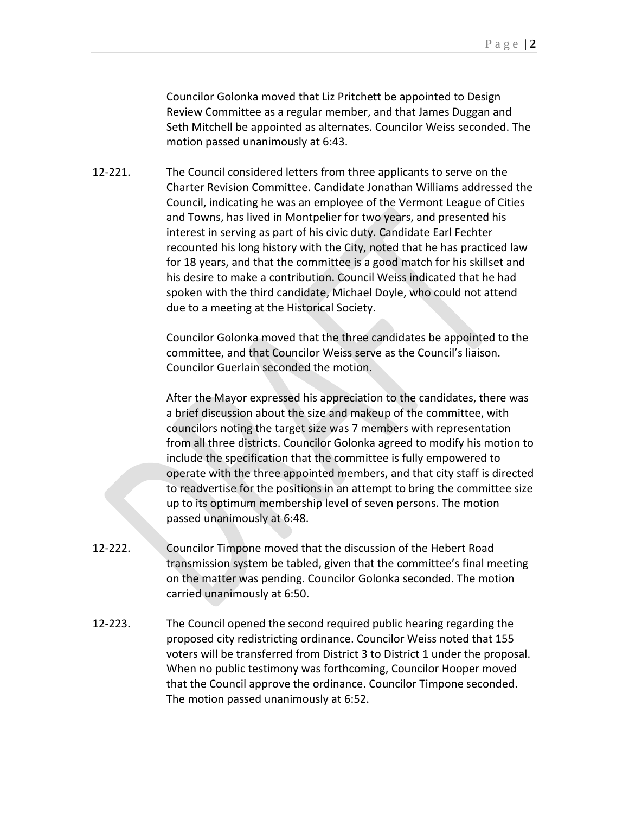Councilor Golonka moved that Liz Pritchett be appointed to Design Review Committee as a regular member, and that James Duggan and Seth Mitchell be appointed as alternates. Councilor Weiss seconded. The motion passed unanimously at 6:43.

12-221. The Council considered letters from three applicants to serve on the Charter Revision Committee. Candidate Jonathan Williams addressed the Council, indicating he was an employee of the Vermont League of Cities and Towns, has lived in Montpelier for two years, and presented his interest in serving as part of his civic duty. Candidate Earl Fechter recounted his long history with the City, noted that he has practiced law for 18 years, and that the committee is a good match for his skillset and his desire to make a contribution. Council Weiss indicated that he had spoken with the third candidate, Michael Doyle, who could not attend due to a meeting at the Historical Society.

> Councilor Golonka moved that the three candidates be appointed to the committee, and that Councilor Weiss serve as the Council's liaison. Councilor Guerlain seconded the motion.

After the Mayor expressed his appreciation to the candidates, there was a brief discussion about the size and makeup of the committee, with councilors noting the target size was 7 members with representation from all three districts. Councilor Golonka agreed to modify his motion to include the specification that the committee is fully empowered to operate with the three appointed members, and that city staff is directed to readvertise for the positions in an attempt to bring the committee size up to its optimum membership level of seven persons. The motion passed unanimously at 6:48.

- 12-222. Councilor Timpone moved that the discussion of the Hebert Road transmission system be tabled, given that the committee's final meeting on the matter was pending. Councilor Golonka seconded. The motion carried unanimously at 6:50.
- 12-223. The Council opened the second required public hearing regarding the proposed city redistricting ordinance. Councilor Weiss noted that 155 voters will be transferred from District 3 to District 1 under the proposal. When no public testimony was forthcoming, Councilor Hooper moved that the Council approve the ordinance. Councilor Timpone seconded. The motion passed unanimously at 6:52.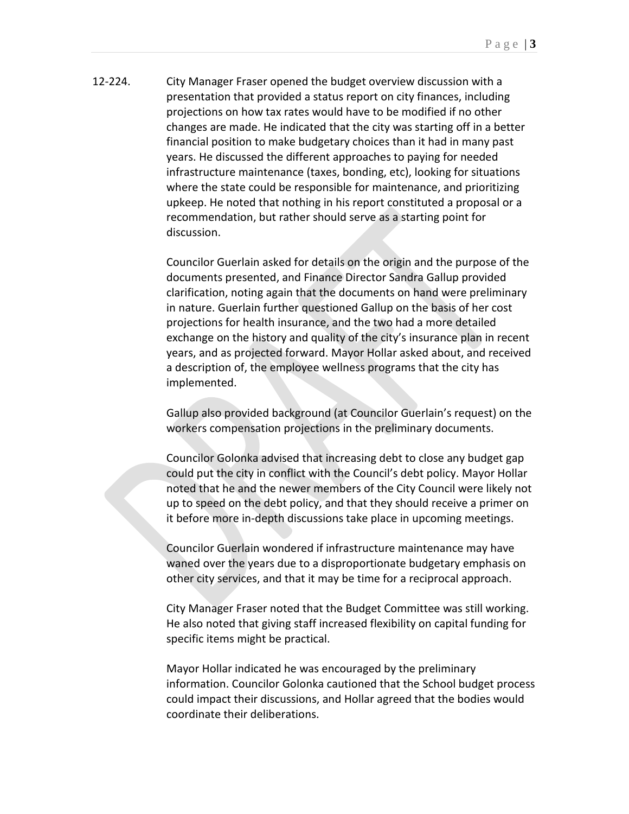12-224. City Manager Fraser opened the budget overview discussion with a presentation that provided a status report on city finances, including projections on how tax rates would have to be modified if no other changes are made. He indicated that the city was starting off in a better financial position to make budgetary choices than it had in many past years. He discussed the different approaches to paying for needed infrastructure maintenance (taxes, bonding, etc), looking for situations where the state could be responsible for maintenance, and prioritizing upkeep. He noted that nothing in his report constituted a proposal or a recommendation, but rather should serve as a starting point for discussion.

> Councilor Guerlain asked for details on the origin and the purpose of the documents presented, and Finance Director Sandra Gallup provided clarification, noting again that the documents on hand were preliminary in nature. Guerlain further questioned Gallup on the basis of her cost projections for health insurance, and the two had a more detailed exchange on the history and quality of the city's insurance plan in recent years, and as projected forward. Mayor Hollar asked about, and received a description of, the employee wellness programs that the city has implemented.

> Gallup also provided background (at Councilor Guerlain's request) on the workers compensation projections in the preliminary documents.

> Councilor Golonka advised that increasing debt to close any budget gap could put the city in conflict with the Council's debt policy. Mayor Hollar noted that he and the newer members of the City Council were likely not up to speed on the debt policy, and that they should receive a primer on it before more in-depth discussions take place in upcoming meetings.

Councilor Guerlain wondered if infrastructure maintenance may have waned over the years due to a disproportionate budgetary emphasis on other city services, and that it may be time for a reciprocal approach.

City Manager Fraser noted that the Budget Committee was still working. He also noted that giving staff increased flexibility on capital funding for specific items might be practical.

Mayor Hollar indicated he was encouraged by the preliminary information. Councilor Golonka cautioned that the School budget process could impact their discussions, and Hollar agreed that the bodies would coordinate their deliberations.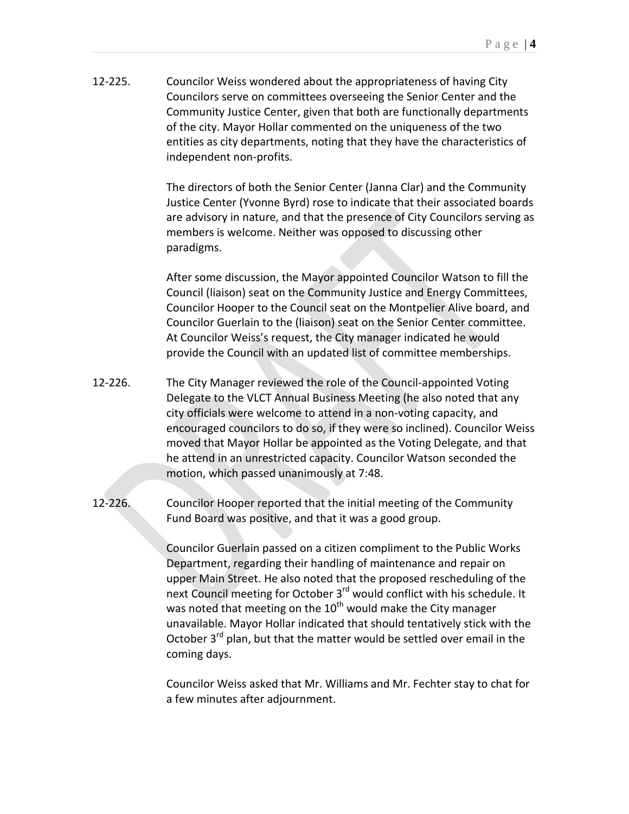12-225. Councilor Weiss wondered about the appropriateness of having City Councilors serve on committees overseeing the Senior Center and the Community Justice Center, given that both are functionally departments of the city. Mayor Hollar commented on the uniqueness of the two entities as city departments, noting that they have the characteristics of independent non-profits.

> The directors of both the Senior Center (Janna Clar) and the Community Justice Center (Yvonne Byrd) rose to indicate that their associated boards are advisory in nature, and that the presence of City Councilors serving as members is welcome. Neither was opposed to discussing other paradigms.

After some discussion, the Mayor appointed Councilor Watson to fill the Council (liaison) seat on the Community Justice and Energy Committees, Councilor Hooper to the Council seat on the Montpelier Alive board, and Councilor Guerlain to the (liaison) seat on the Senior Center committee. At Councilor Weiss's request, the City manager indicated he would provide the Council with an updated list of committee memberships.

- 12-226. The City Manager reviewed the role of the Council-appointed Voting Delegate to the VLCT Annual Business Meeting (he also noted that any city officials were welcome to attend in a non-voting capacity, and encouraged councilors to do so, if they were so inclined). Councilor Weiss moved that Mayor Hollar be appointed as the Voting Delegate, and that he attend in an unrestricted capacity. Councilor Watson seconded the motion, which passed unanimously at 7:48.
- 12-226. Councilor Hooper reported that the initial meeting of the Community Fund Board was positive, and that it was a good group.

Councilor Guerlain passed on a citizen compliment to the Public Works Department, regarding their handling of maintenance and repair on upper Main Street. He also noted that the proposed rescheduling of the next Council meeting for October 3<sup>rd</sup> would conflict with his schedule. It was noted that meeting on the 10<sup>th</sup> would make the City manager unavailable. Mayor Hollar indicated that should tentatively stick with the October  $3^{rd}$  plan, but that the matter would be settled over email in the coming days.

Councilor Weiss asked that Mr. Williams and Mr. Fechter stay to chat for a few minutes after adjournment.